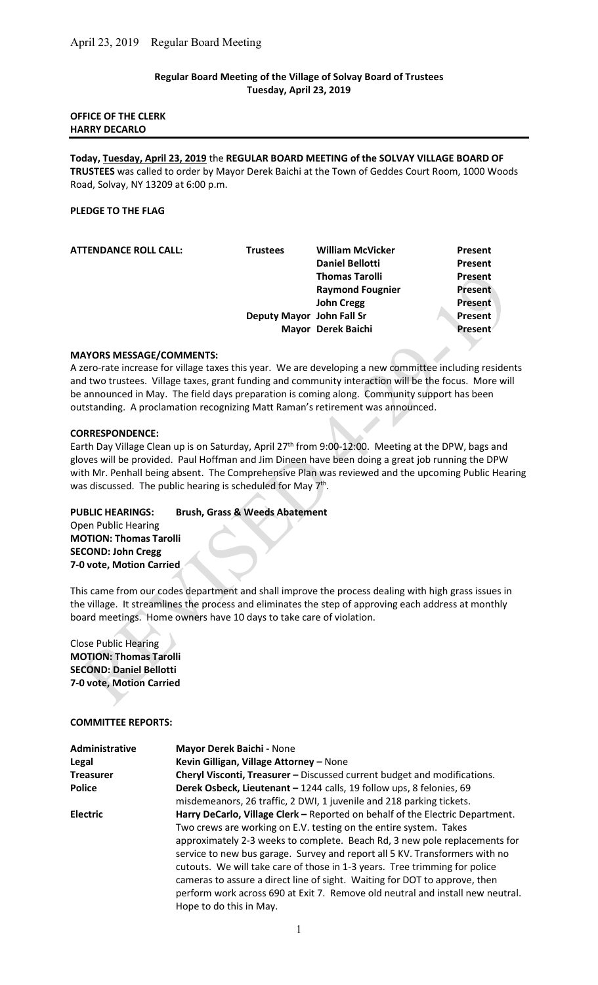## Regular Board Meeting of the Village of Solvay Board of Trustees Tuesday, April 23, 2019

#### OFFICE OF THE CLERK HARRY DECARLO

Today, Tuesday, April 23, 2019 the REGULAR BOARD MEETING of the SOLVAY VILLAGE BOARD OF TRUSTEES was called to order by Mayor Derek Baichi at the Town of Geddes Court Room, 1000 Woods Road, Solvay, NY 13209 at 6:00 p.m.

#### PLEDGE TO THE FLAG

| <b>ATTENDANCE ROLL CALL:</b> | <b>Trustees</b>           | <b>William McVicker</b> | Present        |
|------------------------------|---------------------------|-------------------------|----------------|
|                              |                           | <b>Daniel Bellotti</b>  | Present        |
|                              |                           | <b>Thomas Tarolli</b>   | Present        |
|                              |                           | <b>Raymond Fougnier</b> | <b>Present</b> |
|                              |                           | <b>John Cregg</b>       | <b>Present</b> |
|                              | Deputy Mayor John Fall Sr |                         | Present        |
|                              |                           | Mayor Derek Baichi      | <b>Present</b> |

#### MAYORS MESSAGE/COMMENTS:

A zero-rate increase for village taxes this year. We are developing a new committee including residents and two trustees. Village taxes, grant funding and community interaction will be the focus. More will be announced in May. The field days preparation is coming along. Community support has been outstanding. A proclamation recognizing Matt Raman's retirement was announced.

#### CORRESPONDENCE:

Earth Day Village Clean up is on Saturday, April 27<sup>th</sup> from 9:00-12:00. Meeting at the DPW, bags and gloves will be provided. Paul Hoffman and Jim Dineen have been doing a great job running the DPW with Mr. Penhall being absent. The Comprehensive Plan was reviewed and the upcoming Public Hearing was discussed. The public hearing is scheduled for May  $7<sup>th</sup>$ .

# PUBLIC HEARINGS: Brush, Grass & Weeds Abatement

Open Public Hearing MOTION: Thomas Tarolli SECOND: John Cregg 7-0 vote, Motion Carried

This came from our codes department and shall improve the process dealing with high grass issues in the village. It streamlines the process and eliminates the step of approving each address at monthly board meetings. Home owners have 10 days to take care of violation.

Close Public Hearing MOTION: Thomas Tarolli SECOND: Daniel Bellotti 7-0 vote, Motion Carried

COMMITTEE REPORTS:

| <b>Administrative</b> | Mayor Derek Baichi - None                                                      |  |  |  |
|-----------------------|--------------------------------------------------------------------------------|--|--|--|
| Legal                 | Kevin Gilligan, Village Attorney - None                                        |  |  |  |
| <b>Treasurer</b>      | Cheryl Visconti, Treasurer - Discussed current budget and modifications.       |  |  |  |
| Police                | Derek Osbeck, Lieutenant - 1244 calls, 19 follow ups, 8 felonies, 69           |  |  |  |
|                       | misdemeanors, 26 traffic, 2 DWI, 1 juvenile and 218 parking tickets.           |  |  |  |
| <b>Electric</b>       | Harry DeCarlo, Village Clerk - Reported on behalf of the Electric Department.  |  |  |  |
|                       | Two crews are working on E.V. testing on the entire system. Takes              |  |  |  |
|                       | approximately 2-3 weeks to complete. Beach Rd, 3 new pole replacements for     |  |  |  |
|                       | service to new bus garage. Survey and report all 5 KV. Transformers with no    |  |  |  |
|                       | cutouts. We will take care of those in 1-3 years. Tree trimming for police     |  |  |  |
|                       | cameras to assure a direct line of sight. Waiting for DOT to approve, then     |  |  |  |
|                       | perform work across 690 at Exit 7. Remove old neutral and install new neutral. |  |  |  |
|                       | Hope to do this in May.                                                        |  |  |  |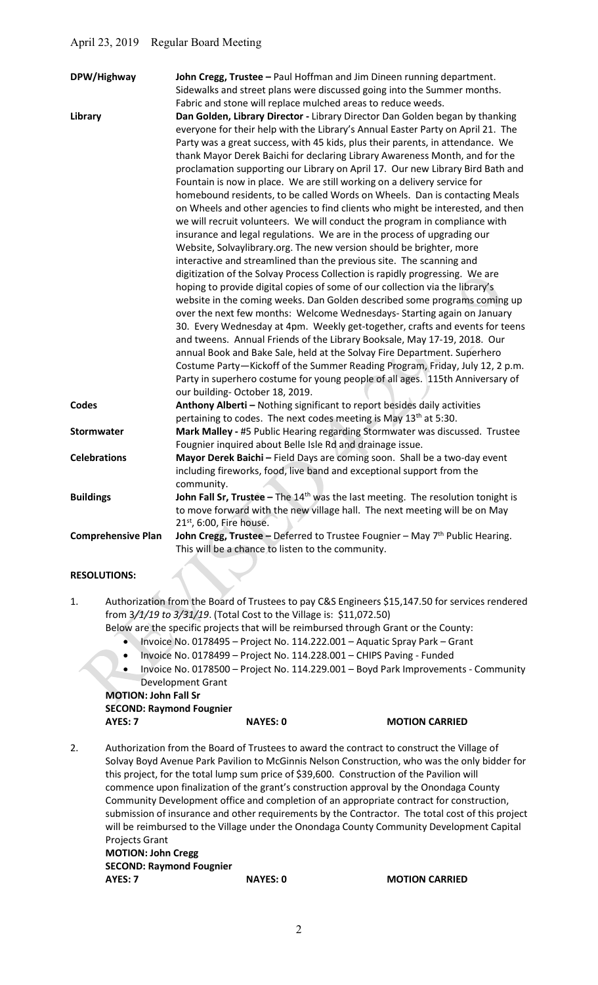| DPW/Highway               | John Cregg, Trustee - Paul Hoffman and Jim Dineen running department.<br>Sidewalks and street plans were discussed going into the Summer months.                                                                                                                                                                                                                                                                                                                                                                                                                                                                                                                                                                                                                                                                                                                                                                                                                                                                                                                                                                                                                                                                                                                                                                                                                                                                                                                                                                            |
|---------------------------|-----------------------------------------------------------------------------------------------------------------------------------------------------------------------------------------------------------------------------------------------------------------------------------------------------------------------------------------------------------------------------------------------------------------------------------------------------------------------------------------------------------------------------------------------------------------------------------------------------------------------------------------------------------------------------------------------------------------------------------------------------------------------------------------------------------------------------------------------------------------------------------------------------------------------------------------------------------------------------------------------------------------------------------------------------------------------------------------------------------------------------------------------------------------------------------------------------------------------------------------------------------------------------------------------------------------------------------------------------------------------------------------------------------------------------------------------------------------------------------------------------------------------------|
|                           |                                                                                                                                                                                                                                                                                                                                                                                                                                                                                                                                                                                                                                                                                                                                                                                                                                                                                                                                                                                                                                                                                                                                                                                                                                                                                                                                                                                                                                                                                                                             |
| Library                   | Fabric and stone will replace mulched areas to reduce weeds.<br>Dan Golden, Library Director - Library Director Dan Golden began by thanking<br>everyone for their help with the Library's Annual Easter Party on April 21. The<br>Party was a great success, with 45 kids, plus their parents, in attendance. We<br>thank Mayor Derek Baichi for declaring Library Awareness Month, and for the<br>proclamation supporting our Library on April 17. Our new Library Bird Bath and<br>Fountain is now in place. We are still working on a delivery service for<br>homebound residents, to be called Words on Wheels. Dan is contacting Meals<br>on Wheels and other agencies to find clients who might be interested, and then<br>we will recruit volunteers. We will conduct the program in compliance with<br>insurance and legal regulations. We are in the process of upgrading our<br>Website, Solvaylibrary.org. The new version should be brighter, more<br>interactive and streamlined than the previous site. The scanning and<br>digitization of the Solvay Process Collection is rapidly progressing. We are<br>hoping to provide digital copies of some of our collection via the library's<br>website in the coming weeks. Dan Golden described some programs coming up<br>over the next few months: Welcome Wednesdays- Starting again on January<br>30. Every Wednesday at 4pm. Weekly get-together, crafts and events for teens<br>and tweens. Annual Friends of the Library Booksale, May 17-19, 2018. Our |
|                           | annual Book and Bake Sale, held at the Solvay Fire Department. Superhero<br>Costume Party-Kickoff of the Summer Reading Program, Friday, July 12, 2 p.m.<br>Party in superhero costume for young people of all ages. 115th Anniversary of<br>our building-October 18, 2019.                                                                                                                                                                                                                                                                                                                                                                                                                                                                                                                                                                                                                                                                                                                                                                                                                                                                                                                                                                                                                                                                                                                                                                                                                                                 |
| <b>Codes</b>              | Anthony Alberti - Nothing significant to report besides daily activities<br>pertaining to codes. The next codes meeting is May 13 <sup>th</sup> at 5:30.                                                                                                                                                                                                                                                                                                                                                                                                                                                                                                                                                                                                                                                                                                                                                                                                                                                                                                                                                                                                                                                                                                                                                                                                                                                                                                                                                                    |
| <b>Stormwater</b>         | Mark Malley - #5 Public Hearing regarding Stormwater was discussed. Trustee<br>Fougnier inquired about Belle Isle Rd and drainage issue.                                                                                                                                                                                                                                                                                                                                                                                                                                                                                                                                                                                                                                                                                                                                                                                                                                                                                                                                                                                                                                                                                                                                                                                                                                                                                                                                                                                    |
| <b>Celebrations</b>       | Mayor Derek Baichi - Field Days are coming soon. Shall be a two-day event<br>including fireworks, food, live band and exceptional support from the<br>community.                                                                                                                                                                                                                                                                                                                                                                                                                                                                                                                                                                                                                                                                                                                                                                                                                                                                                                                                                                                                                                                                                                                                                                                                                                                                                                                                                            |
| <b>Buildings</b>          | John Fall Sr, Trustee - The $14th$ was the last meeting. The resolution tonight is<br>to move forward with the new village hall. The next meeting will be on May<br>$21st$ , 6:00, Fire house.                                                                                                                                                                                                                                                                                                                                                                                                                                                                                                                                                                                                                                                                                                                                                                                                                                                                                                                                                                                                                                                                                                                                                                                                                                                                                                                              |
| <b>Comprehensive Plan</b> | John Cregg, Trustee - Deferred to Trustee Fougnier - May 7 <sup>th</sup> Public Hearing.<br>This will be a chance to listen to the community.                                                                                                                                                                                                                                                                                                                                                                                                                                                                                                                                                                                                                                                                                                                                                                                                                                                                                                                                                                                                                                                                                                                                                                                                                                                                                                                                                                               |
|                           |                                                                                                                                                                                                                                                                                                                                                                                                                                                                                                                                                                                                                                                                                                                                                                                                                                                                                                                                                                                                                                                                                                                                                                                                                                                                                                                                                                                                                                                                                                                             |

# RESOLUTIONS:

1. Authorization from the Board of Trustees to pay C&S Engineers \$15,147.50 for services rendered from 3/1/19 to 3/31/19. (Total Cost to the Village is: \$11,072.50)

Below are the specific projects that will be reimbursed through Grant or the County:

- Invoice No. 0178495 Project No. 114.222.001 Aquatic Spray Park Grant
- Invoice No. 0178499 Project No. 114.228.001 CHIPS Paving Funded
- Invoice No. 0178500 Project No. 114.229.001 Boyd Park Improvements Community Development Grant

MOTION: John Fall Sr SECOND: Raymond Fougnier AYES: 7 NAYES: 0 MOTION CARRIED

2. Authorization from the Board of Trustees to award the contract to construct the Village of Solvay Boyd Avenue Park Pavilion to McGinnis Nelson Construction, who was the only bidder for this project, for the total lump sum price of \$39,600. Construction of the Pavilion will commence upon finalization of the grant's construction approval by the Onondaga County Community Development office and completion of an appropriate contract for construction, submission of insurance and other requirements by the Contractor. The total cost of this project will be reimbursed to the Village under the Onondaga County Community Development Capital Projects Grant

 MOTION: John Cregg SECOND: Raymond Fougnier AYES: 7 NAYES: 0 MOTION CARRIED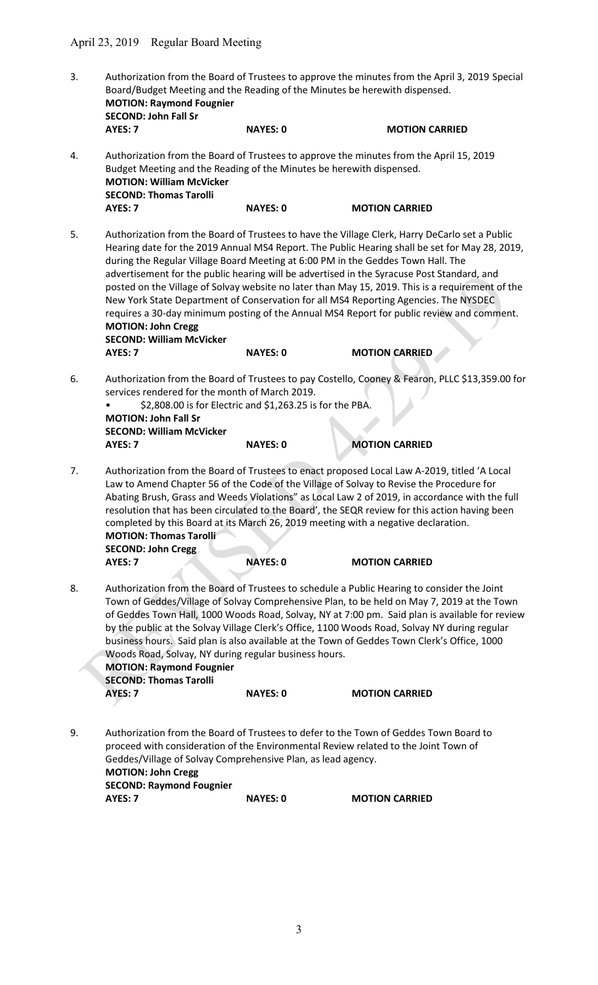| 3. | Board/Budget Meeting and the Reading of the Minutes be herewith dispensed.<br><b>MOTION: Raymond Fougnier</b><br><b>SECOND: John Fall Sr</b>                                                                        |                                                                              | Authorization from the Board of Trustees to approve the minutes from the April 3, 2019 Special                                                                                                                                                                                                                                                                                                                                                                                                                                                                                          |
|----|---------------------------------------------------------------------------------------------------------------------------------------------------------------------------------------------------------------------|------------------------------------------------------------------------------|-----------------------------------------------------------------------------------------------------------------------------------------------------------------------------------------------------------------------------------------------------------------------------------------------------------------------------------------------------------------------------------------------------------------------------------------------------------------------------------------------------------------------------------------------------------------------------------------|
|    | AYES: 7                                                                                                                                                                                                             | <b>NAYES: 0</b>                                                              | <b>MOTION CARRIED</b>                                                                                                                                                                                                                                                                                                                                                                                                                                                                                                                                                                   |
| 4. | Budget Meeting and the Reading of the Minutes be herewith dispensed.<br><b>MOTION: William McVicker</b><br><b>SECOND: Thomas Tarolli</b>                                                                            |                                                                              | Authorization from the Board of Trustees to approve the minutes from the April 15, 2019                                                                                                                                                                                                                                                                                                                                                                                                                                                                                                 |
|    | AYES: 7                                                                                                                                                                                                             | <b>NAYES: 0</b>                                                              | <b>MOTION CARRIED</b>                                                                                                                                                                                                                                                                                                                                                                                                                                                                                                                                                                   |
| 5. | during the Regular Village Board Meeting at 6:00 PM in the Geddes Town Hall. The<br><b>MOTION: John Cregg</b><br><b>SECOND: William McVicker</b>                                                                    |                                                                              | Authorization from the Board of Trustees to have the Village Clerk, Harry DeCarlo set a Public<br>Hearing date for the 2019 Annual MS4 Report. The Public Hearing shall be set for May 28, 2019,<br>advertisement for the public hearing will be advertised in the Syracuse Post Standard, and<br>posted on the Village of Solvay website no later than May 15, 2019. This is a requirement of the<br>New York State Department of Conservation for all MS4 Reporting Agencies. The NYSDEC<br>requires a 30-day minimum posting of the Annual MS4 Report for public review and comment. |
|    | AYES: 7                                                                                                                                                                                                             | <b>NAYES: 0</b>                                                              | <b>MOTION CARRIED</b>                                                                                                                                                                                                                                                                                                                                                                                                                                                                                                                                                                   |
| 6. | services rendered for the month of March 2019.<br><b>MOTION: John Fall Sr</b><br><b>SECOND: William McVicker</b><br>AYES: 7                                                                                         | \$2,808.00 is for Electric and \$1,263.25 is for the PBA.<br><b>NAYES: 0</b> | Authorization from the Board of Trustees to pay Costello, Cooney & Fearon, PLLC \$13,359.00 for<br><b>MOTION CARRIED</b>                                                                                                                                                                                                                                                                                                                                                                                                                                                                |
| 7. | completed by this Board at its March 26, 2019 meeting with a negative declaration.<br><b>MOTION: Thomas Tarolli</b><br>SECOND: John Cregg<br>AYES: 7                                                                | <b>NAYES: 0</b>                                                              | Authorization from the Board of Trustees to enact proposed Local Law A-2019, titled 'A Local<br>Law to Amend Chapter 56 of the Code of the Village of Solvay to Revise the Procedure for<br>Abating Brush, Grass and Weeds Violations" as Local Law 2 of 2019, in accordance with the full<br>resolution that has been circulated to the Board', the SEQR review for this action having been<br><b>MOTION CARRIED</b>                                                                                                                                                                   |
| 8. | Woods Road, Solvay, NY during regular business hours.<br><b>MOTION: Raymond Fougnier</b><br><b>SECOND: Thomas Tarolli</b><br>AYES: 7                                                                                | <b>NAYES: 0</b>                                                              | Authorization from the Board of Trustees to schedule a Public Hearing to consider the Joint<br>Town of Geddes/Village of Solvay Comprehensive Plan, to be held on May 7, 2019 at the Town<br>of Geddes Town Hall, 1000 Woods Road, Solvay, NY at 7:00 pm. Said plan is available for review<br>by the public at the Solvay Village Clerk's Office, 1100 Woods Road, Solvay NY during regular<br>business hours. Said plan is also available at the Town of Geddes Town Clerk's Office, 1000<br><b>MOTION CARRIED</b>                                                                    |
|    |                                                                                                                                                                                                                     |                                                                              |                                                                                                                                                                                                                                                                                                                                                                                                                                                                                                                                                                                         |
| 9. | proceed with consideration of the Environmental Review related to the Joint Town of<br>Geddes/Village of Solvay Comprehensive Plan, as lead agency.<br><b>MOTION: John Cregg</b><br><b>SECOND: Raymond Fougnier</b> |                                                                              | Authorization from the Board of Trustees to defer to the Town of Geddes Town Board to                                                                                                                                                                                                                                                                                                                                                                                                                                                                                                   |
|    | AYES: 7                                                                                                                                                                                                             | <b>NAYES: 0</b>                                                              | <b>MOTION CARRIED</b>                                                                                                                                                                                                                                                                                                                                                                                                                                                                                                                                                                   |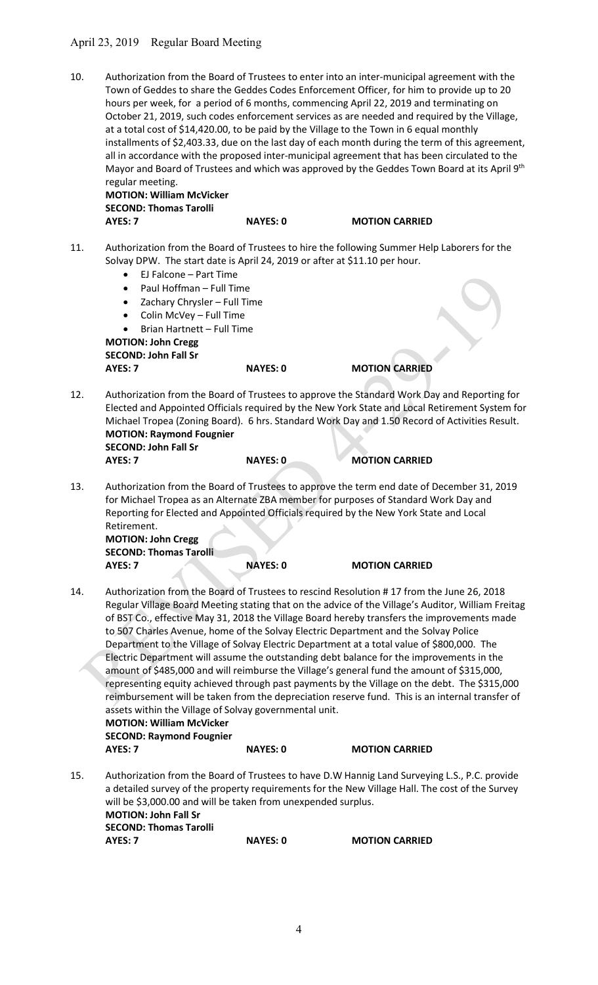# April 23, 2019 Regular Board Meeting

10. Authorization from the Board of Trustees to enter into an inter-municipal agreement with the Town of Geddes to share the Geddes Codes Enforcement Officer, for him to provide up to 20 hours per week, for a period of 6 months, commencing April 22, 2019 and terminating on October 21, 2019, such codes enforcement services as are needed and required by the Village, at a total cost of \$14,420.00, to be paid by the Village to the Town in 6 equal monthly installments of \$2,403.33, due on the last day of each month during the term of this agreement, all in accordance with the proposed inter-municipal agreement that has been circulated to the Mayor and Board of Trustees and which was approved by the Geddes Town Board at its April 9th regular meeting.

 MOTION: William McVicker SECOND: Thomas Tarolli AYES: 7 NAYES: 0 MOTION CARRIED

- 11. Authorization from the Board of Trustees to hire the following Summer Help Laborers for the Solvay DPW. The start date is April 24, 2019 or after at \$11.10 per hour.
	- EJ Falcone Part Time
	- Paul Hoffman Full Time
	- Zachary Chrysler Full Time
	- Colin McVey Full Time
	- Brian Hartnett Full Time

 MOTION: John Cregg SECOND: John Fall Sr AYES: 7 NAYES: 0 MOTION CARRIED

- 12. Authorization from the Board of Trustees to approve the Standard Work Day and Reporting for Elected and Appointed Officials required by the New York State and Local Retirement System for Michael Tropea (Zoning Board). 6 hrs. Standard Work Day and 1.50 Record of Activities Result. MOTION: Raymond Fougnier SECOND: John Fall Sr AYES: 7 NAYES: 0 MOTION CARRIED
- 13. Authorization from the Board of Trustees to approve the term end date of December 31, 2019 for Michael Tropea as an Alternate ZBA member for purposes of Standard Work Day and Reporting for Elected and Appointed Officials required by the New York State and Local Retirement.

 MOTION: John Cregg SECOND: Thomas Tarolli AYES: 7 NAYES: 0 MOTION CARRIED

14. Authorization from the Board of Trustees to rescind Resolution # 17 from the June 26, 2018 Regular Village Board Meeting stating that on the advice of the Village's Auditor, William Freitag of BST Co., effective May 31, 2018 the Village Board hereby transfers the improvements made to 507 Charles Avenue, home of the Solvay Electric Department and the Solvay Police Department to the Village of Solvay Electric Department at a total value of \$800,000. The Electric Department will assume the outstanding debt balance for the improvements in the amount of \$485,000 and will reimburse the Village's general fund the amount of \$315,000, representing equity achieved through past payments by the Village on the debt. The \$315,000 reimbursement will be taken from the depreciation reserve fund. This is an internal transfer of assets within the Village of Solvay governmental unit. MOTION: William McVicker SECOND: Raymond Fougnier

AYES: 7 NAYES: 0 MOTION CARRIED

15. Authorization from the Board of Trustees to have D.W Hannig Land Surveying L.S., P.C. provide a detailed survey of the property requirements for the New Village Hall. The cost of the Survey will be \$3,000.00 and will be taken from unexpended surplus. MOTION: John Fall Sr SECOND: Thomas Tarolli AYES: 7 NAYES: 0 MOTION CARRIED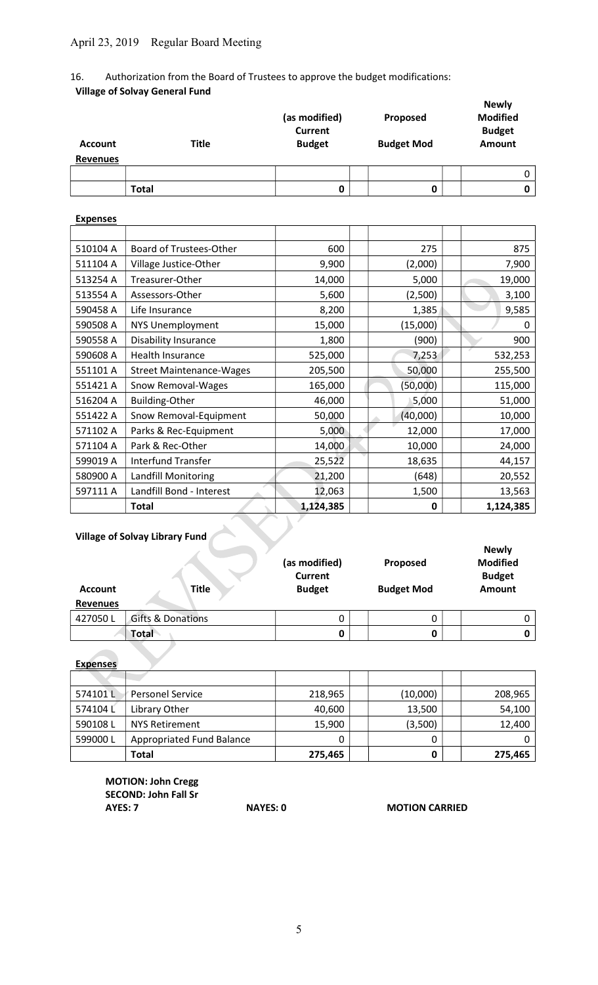# 16. Authorization from the Board of Trustees to approve the budget modifications: Village of Solvay General Fund

| <b>Account</b><br><b>Revenues</b> | <b>Title</b> | (as modified)<br><b>Current</b><br><b>Budget</b> | Proposed<br><b>Budget Mod</b> | <b>Newly</b><br><b>Modified</b><br><b>Budget</b><br><b>Amount</b> |  |
|-----------------------------------|--------------|--------------------------------------------------|-------------------------------|-------------------------------------------------------------------|--|
|                                   |              |                                                  |                               |                                                                   |  |
|                                   | <b>Total</b> | 0                                                | 0                             |                                                                   |  |

# **Expenses** 510104 A Board of Trustees-Other 600 275 875 511104 A Village Justice-Other 9,900 (2,000) 7,900 513254 A Treasurer-Other 14,000 | 5,000 | 5,000 19,000 513554 A | Assessors-Other | 5,600 | 2,500 | 3,100 590458 A Life Insurance 200 A R 3,200 | 2,385 3,585 590508 A NYS Unemployment 15,000 (15,000) (15,000) 590558 A Disability Insurance 1,800 | (900) 900 590608 A | Health Insurance | 525,000 | 7,253 | 532,253 551101 A Street Maintenance-Wages | 205,500 | 50,000 | 255,500 551421 A Snow Removal-Wages 165,000 (50,000) 115,000 516204 A Building-Other 1 46,000 | 5,000 | 5,000 | 51,000 551422 A Snow Removal-Equipment | 50,000 | 40,000 | 10,000 | 10,000 571102 A Parks & Rec-Equipment 15,000 12,000 12,000 17,000 571104 A Park & Rec-Other 14,000 14,000 10,000 24,000 599019 A | Interfund Transfer | 25,522 | 18,635 | 44,157 580900 A Landfill Monitoring 21,200 (648) 20,552 597111 A | Landfill Bond - Interest 12,063 | 1,500 | 1,500 | 13,563 Total 1,124,385 0 1,124,385

# Village of Solvay Library Fund

| <b>Account</b><br><b>Revenues</b> | <b>Title</b>                 | (as modified)<br><b>Current</b><br><b>Budget</b> | Proposed<br><b>Budget Mod</b> | <b>Newly</b><br><b>Modified</b><br><b>Budget</b><br><b>Amount</b> |
|-----------------------------------|------------------------------|--------------------------------------------------|-------------------------------|-------------------------------------------------------------------|
| 427050L                           | <b>Gifts &amp; Donations</b> | 0                                                | 0                             |                                                                   |
|                                   | Total                        | 0                                                |                               |                                                                   |

Expenses

| 574101L | <b>Personel Service</b>          | 218,965 | (10,000) | 208,965 |
|---------|----------------------------------|---------|----------|---------|
| 574104L | Library Other                    | 40,600  | 13,500   | 54,100  |
| 590108L | <b>NYS Retirement</b>            | 15,900  | (3,500)  | 12,400  |
| 599000L | <b>Appropriated Fund Balance</b> |         | ი        |         |
|         | <b>Total</b>                     | 275,465 |          | 275,465 |

 MOTION: John Cregg SECOND: John Fall Sr AYES: 7 NAYES: 0 MOTION CARRIED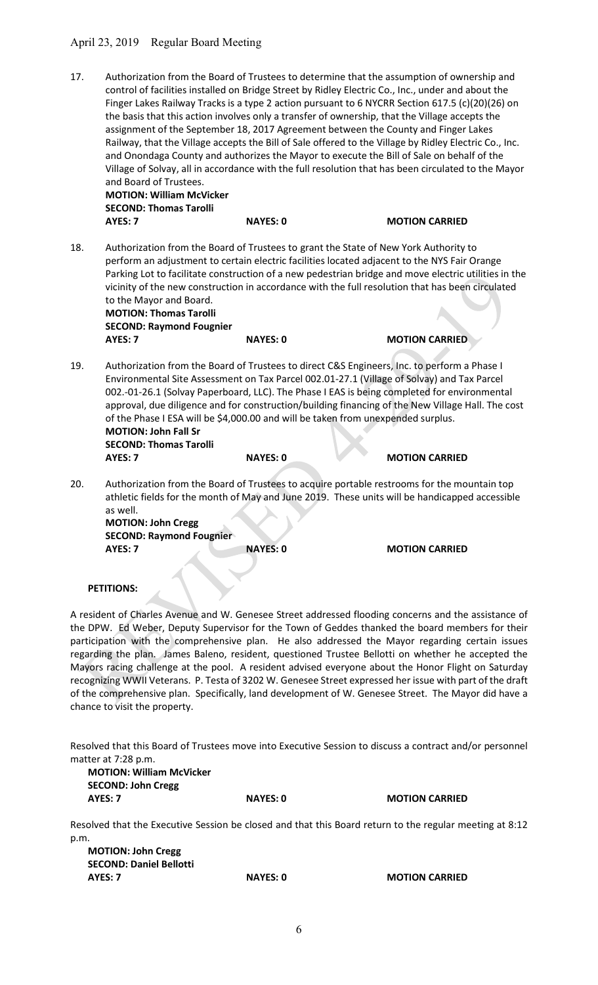# April 23, 2019 Regular Board Meeting

17. Authorization from the Board of Trustees to determine that the assumption of ownership and control of facilities installed on Bridge Street by Ridley Electric Co., Inc., under and about the Finger Lakes Railway Tracks is a type 2 action pursuant to 6 NYCRR Section 617.5 (c)(20)(26) on the basis that this action involves only a transfer of ownership, that the Village accepts the assignment of the September 18, 2017 Agreement between the County and Finger Lakes Railway, that the Village accepts the Bill of Sale offered to the Village by Ridley Electric Co., Inc. and Onondaga County and authorizes the Mayor to execute the Bill of Sale on behalf of the Village of Solvay, all in accordance with the full resolution that has been circulated to the Mayor and Board of Trustees.

 MOTION: William McVicker SECOND: Thomas Tarolli AYES: 7 NAYES: 0 MOTION CARRIED

18. Authorization from the Board of Trustees to grant the State of New York Authority to perform an adjustment to certain electric facilities located adjacent to the NYS Fair Orange Parking Lot to facilitate construction of a new pedestrian bridge and move electric utilities in the vicinity of the new construction in accordance with the full resolution that has been circulated to the Mayor and Board. MOTION: Thomas Tarolli

 SECOND: Raymond Fougnier AYES: 7 NAYES: 0 MOTION CARRIED

- 19. Authorization from the Board of Trustees to direct C&S Engineers, Inc. to perform a Phase I Environmental Site Assessment on Tax Parcel 002.01-27.1 (Village of Solvay) and Tax Parcel 002.-01-26.1 (Solvay Paperboard, LLC). The Phase I EAS is being completed for environmental approval, due diligence and for construction/building financing of the New Village Hall. The cost of the Phase I ESA will be \$4,000.00 and will be taken from unexpended surplus. MOTION: John Fall Sr SECOND: Thomas Tarolli
	- AYES: 7 NAYES: 0 MOTION CARRIED
- 20. Authorization from the Board of Trustees to acquire portable restrooms for the mountain top athletic fields for the month of May and June 2019. These units will be handicapped accessible as well. MOTION: John Cregg

 SECOND: Raymond Fougnier AYES: 7 NAYES: 0 MOTION CARRIED

#### PETITIONS:

A resident of Charles Avenue and W. Genesee Street addressed flooding concerns and the assistance of the DPW. Ed Weber, Deputy Supervisor for the Town of Geddes thanked the board members for their participation with the comprehensive plan. He also addressed the Mayor regarding certain issues regarding the plan. James Baleno, resident, questioned Trustee Bellotti on whether he accepted the Mayors racing challenge at the pool. A resident advised everyone about the Honor Flight on Saturday recognizing WWII Veterans. P. Testa of 3202 W. Genesee Street expressed her issue with part of the draft of the comprehensive plan. Specifically, land development of W. Genesee Street. The Mayor did have a chance to visit the property.

Resolved that this Board of Trustees move into Executive Session to discuss a contract and/or personnel matter at 7:28 p.m.

| <b>MOTION: William McVicker</b> |
|---------------------------------|
| <b>SECOND: John Cregg</b>       |
| AYES: 7                         |

NAYES: 0 MOTION CARRIED

Resolved that the Executive Session be closed and that this Board return to the regular meeting at 8:12 p.m.

| <b>MOTION: John Cregg</b>      |                 |                       |
|--------------------------------|-----------------|-----------------------|
| <b>SECOND: Daniel Bellotti</b> |                 |                       |
| AYES: 7                        | <b>NAYES: 0</b> | <b>MOTION CARRIED</b> |